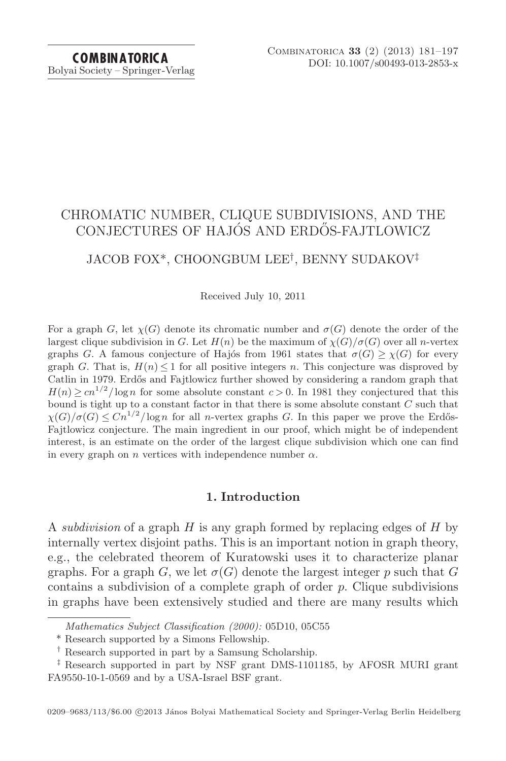Bolyai Society – Springer-Verlag

# CHROMATIC NUMBER, CLIQUE SUBDIVISIONS, AND THE CONJECTURES OF HAJÓS AND ERDŐS-FAJTLOWICZ

## JACOB FOX\*, CHOONGBUM LEE†, BENNY SUDAKOV‡

Received July 10, 2011

For a graph G, let  $\chi(G)$  denote its chromatic number and  $\sigma(G)$  denote the order of the largest clique subdivision in G. Let  $H(n)$  be the maximum of  $\chi(G)/\sigma(G)$  over all n-vertex graphs G. A famous conjecture of Hajos from 1961 states that  $\sigma(G) \geq \chi(G)$  for every graph G. That is,  $H(n) \leq 1$  for all positive integers n. This conjecture was disproved by Catlin in 1979. Erdős and Fajtlowicz further showed by considering a random graph that  $H(n) \geq c n^{1/2} / \log n$  for some absolute constant  $c > 0$ . In 1981 they conjectured that this bound is tight up to a constant factor in that there is some absolute constant C such that  $\chi(G)/\sigma(G) \leq Cn^{1/2}/\log n$  for all *n*-vertex graphs G. In this paper we prove the Erdős-Fajtlowicz conjecture. The main ingredient in our proof, which might be of independent interest, is an estimate on the order of the largest clique subdivision which one can find in every graph on *n* vertices with independence number  $\alpha$ .

## **1. Introduction**

A *subdivision* of a graph  $H$  is any graph formed by replacing edges of  $H$  by internally vertex disjoint paths. This is an important notion in graph theory, e.g., the celebrated theorem of Kuratowski uses it to characterize planar graphs. For a graph G, we let  $\sigma(G)$  denote the largest integer p such that G contains a subdivision of a complete graph of order  $p$ . Clique subdivisions in graphs have been extensively studied and there are many results which

Mathematics Subject Classification (2000): 05D10, 05C55

<sup>\*</sup> Research supported by a Simons Fellowship.

<sup>†</sup> Research supported in part by a Samsung Scholarship.

<sup>‡</sup> Research supported in part by NSF grant DMS-1101185, by AFOSR MURI grant FA9550-10-1-0569 and by a USA-Israel BSF grant.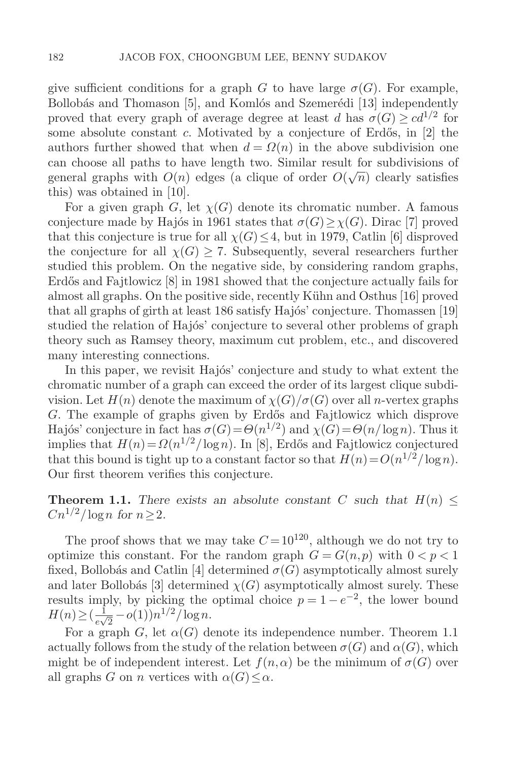give sufficient conditions for a graph G to have large  $\sigma(G)$ . For example, Bollobás and Thomason [5], and Komlós and Szemerédi [13] independently proved that every graph of average degree at least d has  $\sigma(G) \geq c d^{1/2}$  for some absolute constant c. Motivated by a conjecture of Erdős, in  $[2]$  the authors further showed that when  $d = \Omega(n)$  in the above subdivision one can choose all paths to have length two. Similar result for subdivisions of general graphs with  $O(n)$  edges (a clique of order  $O(\sqrt{n})$  clearly satisfies this) was obtained in [10].

For a given graph G, let  $\chi(G)$  denote its chromatic number. A famous conjecture made by Hajós in 1961 states that  $\sigma(G) \geq \chi(G)$ . Dirac [7] proved that this conjecture is true for all  $\chi(G) \leq 4$ , but in 1979, Catlin [6] disproved the conjecture for all  $\chi(G) \geq 7$ . Subsequently, several researchers further studied this problem. On the negative side, by considering random graphs, Erdős and Fajtlowicz [8] in 1981 showed that the conjecture actually fails for almost all graphs. On the positive side, recently K¨uhn and Osthus [16] proved that all graphs of girth at least 186 satisfy Hajós' conjecture. Thomassen  $[19]$ studied the relation of Hajos' conjecture to several other problems of graph theory such as Ramsey theory, maximum cut problem, etc., and discovered many interesting connections.

In this paper, we revisit Hajós' conjecture and study to what extent the chromatic number of a graph can exceed the order of its largest clique subdivision. Let  $H(n)$  denote the maximum of  $\chi(G)/\sigma(G)$  over all n-vertex graphs G. The example of graphs given by Erdős and Fajtlowicz which disprove Hajós' conjecture in fact has  $\sigma(G) = \Theta(n^{1/2})$  and  $\chi(G) = \Theta(n/\log n)$ . Thus it implies that  $H(n) = \Omega(n^{1/2}/\log n)$ . In [8], Erdős and Fajtlowicz conjectured that this bound is tight up to a constant factor so that  $H(n) = O(n^{1/2}/\log n)$ . Our first theorem verifies this conjecture.

**Theorem 1.1.** *There exists an absolute constant* C *such that*  $H(n) \leq$  $Cn^{1/2}/\log n$  *for*  $n > 2$ *.* 

The proof shows that we may take  $C = 10^{120}$ , although we do not try to optimize this constant. For the random graph  $G = G(n, p)$  with  $0 < p < 1$ fixed, Bollobás and Catlin [4] determined  $\sigma(G)$  asymptotically almost surely and later Bollobás [3] determined  $\chi(G)$  asymptotically almost surely. These results imply, by picking the optimal choice  $p = 1 - e^{-2}$ , the lower bound  $H(n) \geq \left(\frac{1}{e\sqrt{2}} - o(1)\right) n^{1/2} / \log n.$ <br>For a graph  $G$  let  $o(G)$  de

For a graph G, let  $\alpha(G)$  denote its independence number. Theorem 1.1 actually follows from the study of the relation between  $\sigma(G)$  and  $\alpha(G)$ , which might be of independent interest. Let  $f(n, \alpha)$  be the minimum of  $\sigma(G)$  over all graphs G on n vertices with  $\alpha(G) \leq \alpha$ .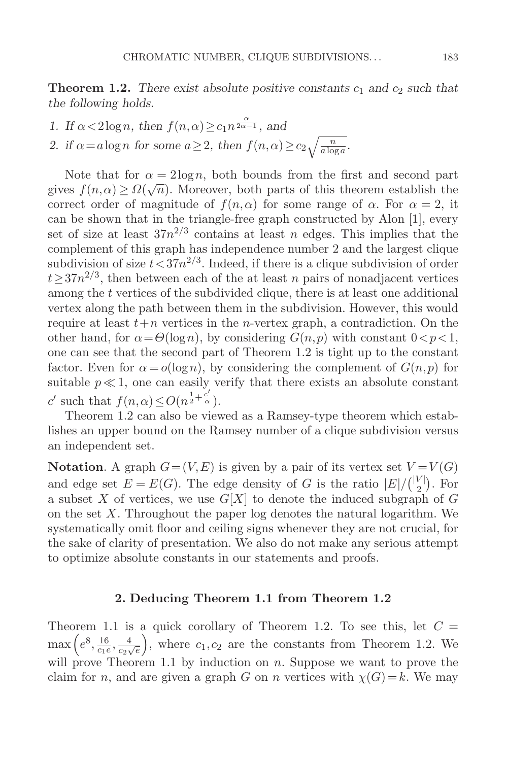**Theorem 1.2.** There exist absolute positive constants  $c_1$  and  $c_2$  such that *the following holds.*

- *1.* If  $\alpha < 2\log n$ , then  $f(n, \alpha) \geq c_1 n^{\frac{\alpha}{2\alpha 1}}$ , and
- 2. if  $\alpha = a \log n$  for some  $a \ge 2$ , then  $f(n, \alpha) \ge c_2 \sqrt{\frac{n}{a \log a}}$ .

Note that for  $\alpha = 2\log n$ , both bounds from the first and second part gives  $f(n,\alpha) \geq \Omega(\sqrt{n})$ . Moreover, both parts of this theorem establish the correct order of magnitude of  $f(n, \alpha)$  for some range of  $\alpha$ . For  $\alpha = 2$ , it can be shown that in the triangle-free graph constructed by Alon [1], every set of size at least  $37n^{2/3}$  contains at least n edges. This implies that the complement of this graph has independence number 2 and the largest clique subdivision of size  $t < 37n^{2/3}$ . Indeed, if there is a clique subdivision of order  $t\geq 37n^{2/3}$ , then between each of the at least n pairs of nonadjacent vertices among the t vertices of the subdivided clique, there is at least one additional vertex along the path between them in the subdivision. However, this would require at least  $t+n$  vertices in the *n*-vertex graph, a contradiction. On the other hand, for  $\alpha = \Theta(\log n)$ , by considering  $G(n, p)$  with constant  $0 < p < 1$ , one can see that the second part of Theorem 1.2 is tight up to the constant factor. Even for  $\alpha = o(\log n)$ , by considering the complement of  $G(n, p)$  for suitable  $p \ll 1$ , one can easily verify that there exists an absolute constant c' such that  $f(n, \alpha) \leq O(n^{\frac{1}{2} + \frac{c'}{\alpha}})$ .

Theorem 1.2 can also be viewed as a Ramsey-type theorem which establishes an upper bound on the Ramsey number of a clique subdivision versus an independent set.

**Notation**. A graph  $G = (V, E)$  is given by a pair of its vertex set  $V = V(G)$ and edge set  $E = E(G)$ . The edge density of G is the ratio  $|E|/{\binom{|V|}{2}}$ . For a subset X of vertices, we use  $G[X]$  to denote the induced subgraph of G on the set  $X$ . Throughout the paper log denotes the natural logarithm. We systematically omit floor and ceiling signs whenever they are not crucial, for the sake of clarity of presentation. We also do not make any serious attempt to optimize absolute constants in our statements and proofs.

## **2. Deducing Theorem 1.1 from Theorem 1.2**

Theorem 1.1 is a quick corollary of Theorem 1.2. To see this, let  $C =$  $\max\left(e^8, \frac{16}{c_1e}, \frac{4}{c_2\sqrt{e}}\right)$ , where  $c_1, c_2$  are the constants from Theorem 1.2. We will prove Theorem 1.1 by induction on n. Suppose we want to prove the claim for n, and are given a graph G on n vertices with  $\chi(G) = k$ . We may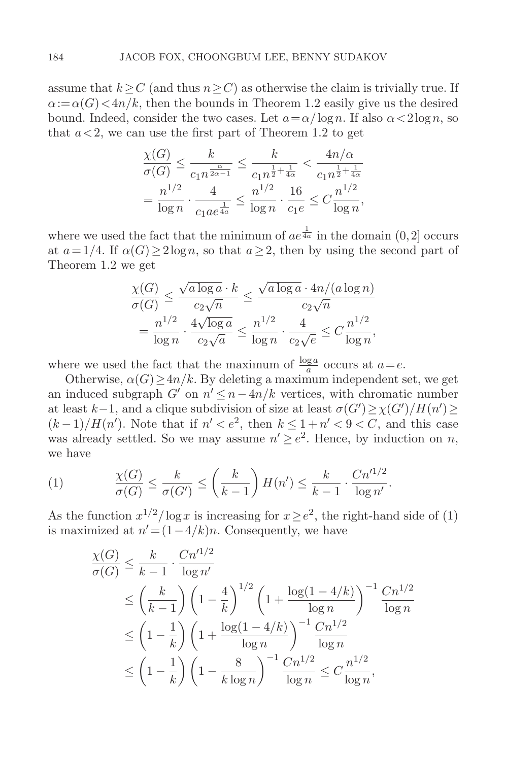assume that  $k \geq C$  (and thus  $n \geq C$ ) as otherwise the claim is trivially true. If  $\alpha := \alpha(G) \langle 4n/k$ , then the bounds in Theorem 1.2 easily give us the desired bound. Indeed, consider the two cases. Let  $a = \alpha / \log n$ . If also  $\alpha < 2 \log n$ , so that  $a < 2$ , we can use the first part of Theorem 1.2 to get

$$
\frac{\chi(G)}{\sigma(G)} \le \frac{k}{c_1 n^{\frac{\alpha}{2\alpha - 1}}} \le \frac{k}{c_1 n^{\frac{1}{2} + \frac{1}{4\alpha}}} < \frac{4n/\alpha}{c_1 n^{\frac{1}{2} + \frac{1}{4\alpha}}}
$$

$$
= \frac{n^{1/2}}{\log n} \cdot \frac{4}{c_1 a e^{\frac{1}{4a}}} \le \frac{n^{1/2}}{\log n} \cdot \frac{16}{c_1 e} \le C \frac{n^{1/2}}{\log n},
$$

where we used the fact that the minimum of  $ae^{\frac{1}{4a}}$  in the domain  $(0,2]$  occurs at  $a = 1/4$ . If  $\alpha(G) \geq 2\log n$ , so that  $a \geq 2$ , then by using the second part of Theorem 1.2 we get

$$
\frac{\chi(G)}{\sigma(G)} \le \frac{\sqrt{a \log a} \cdot k}{c_2 \sqrt{n}} \le \frac{\sqrt{a \log a} \cdot 4n/(a \log n)}{c_2 \sqrt{n}}
$$

$$
= \frac{n^{1/2}}{\log n} \cdot \frac{4\sqrt{\log a}}{c_2 \sqrt{a}} \le \frac{n^{1/2}}{\log n} \cdot \frac{4}{c_2 \sqrt{e}} \le C \frac{n^{1/2}}{\log n},
$$

where we used the fact that the maximum of  $\frac{\log a}{a}$  occurs at  $a=e$ .

Otherwise,  $\alpha(G) > 4n/k$ . By deleting a maximum independent set, we get an induced subgraph G' on  $n' \leq n-4n/k$  vertices, with chromatic number at least  $k-1$ , and a clique subdivision of size at least  $\sigma(G') \geq \chi(G')/H(n') \geq$  $(k-1)/H(n')$ . Note that if  $n' < e^2$ , then  $k \leq 1+n' < 9 < C$ , and this case was already settled. So we may assume  $n' \geq e^2$ . Hence, by induction on n, we have

(1) 
$$
\frac{\chi(G)}{\sigma(G)} \le \frac{k}{\sigma(G')} \le \left(\frac{k}{k-1}\right) H(n') \le \frac{k}{k-1} \cdot \frac{Cn'^{1/2}}{\log n'}.
$$

As the function  $x^{1/2}/\log x$  is increasing for  $x>e^2$ , the right-hand side of (1) is maximized at  $n' = (1-4/k)n$ . Consequently, we have

$$
\frac{\chi(G)}{\sigma(G)} \le \frac{k}{k-1} \cdot \frac{Cn'^{1/2}}{\log n'}
$$
\n
$$
\le \left(\frac{k}{k-1}\right) \left(1 - \frac{4}{k}\right)^{1/2} \left(1 + \frac{\log(1 - 4/k)}{\log n}\right)^{-1} \frac{Cn^{1/2}}{\log n}
$$
\n
$$
\le \left(1 - \frac{1}{k}\right) \left(1 + \frac{\log(1 - 4/k)}{\log n}\right)^{-1} \frac{Cn^{1/2}}{\log n}
$$
\n
$$
\le \left(1 - \frac{1}{k}\right) \left(1 - \frac{8}{k \log n}\right)^{-1} \frac{Cn^{1/2}}{\log n} \le C \frac{n^{1/2}}{\log n},
$$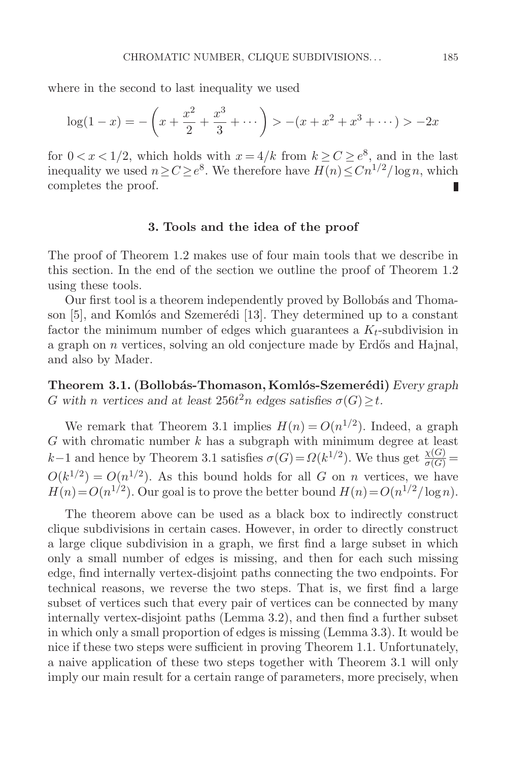where in the second to last inequality we used

$$
\log(1-x) = -\left(x + \frac{x^2}{2} + \frac{x^3}{3} + \dotsb\right) > -(x + x^2 + x^3 + \dotsb) > -2x
$$

for  $0 < x < 1/2$ , which holds with  $x = 4/k$  from  $k \ge C \ge e^8$ , and in the last inequality we used  $n \ge C \ge e^8$ . We therefore have  $H(n) \le Cn^{1/2}/\log n$ , which completes the proof. ■ completes the proof.

## **3. Tools and the idea of the proof**

The proof of Theorem 1.2 makes use of four main tools that we describe in this section. In the end of the section we outline the proof of Theorem 1.2 using these tools.

Our first tool is a theorem independently proved by Bollobás and Thomason [5], and Komlós and Szemerédi [13]. They determined up to a constant factor the minimum number of edges which guarantees a  $K_t$ -subdivision in a graph on  $n$  vertices, solving an old conjecture made by Erdős and Hajnal, and also by Mader.

**Theorem 3.1. (Bollobás-Thomason, Komlós-Szemerédi)** *Every graph* G with *n* vertices and at least  $256t^2n$  edges satisfies  $\sigma(G) \geq t$ .

We remark that Theorem 3.1 implies  $H(n) = O(n^{1/2})$ . Indeed, a graph  $G$  with chromatic number  $k$  has a subgraph with minimum degree at least k−1 and hence by Theorem 3.1 satisfies  $\sigma(G) = \Omega(k^{1/2})$ . We thus get  $\frac{\chi(G)}{\sigma(G)} =$  $O(k^{1/2}) = O(n^{1/2})$ . As this bound holds for all G on n vertices, we have  $H(n) = O(n^{1/2})$ . Our goal is to prove the better bound  $H(n) = O(n^{1/2}/\log n)$ .

The theorem above can be used as a black box to indirectly construct clique subdivisions in certain cases. However, in order to directly construct a large clique subdivision in a graph, we first find a large subset in which only a small number of edges is missing, and then for each such missing edge, find internally vertex-disjoint paths connecting the two endpoints. For technical reasons, we reverse the two steps. That is, we first find a large subset of vertices such that every pair of vertices can be connected by many internally vertex-disjoint paths (Lemma 3.2), and then find a further subset in which only a small proportion of edges is missing (Lemma 3.3). It would be nice if these two steps were sufficient in proving Theorem 1.1. Unfortunately, a naive application of these two steps together with Theorem 3.1 will only imply our main result for a certain range of parameters, more precisely, when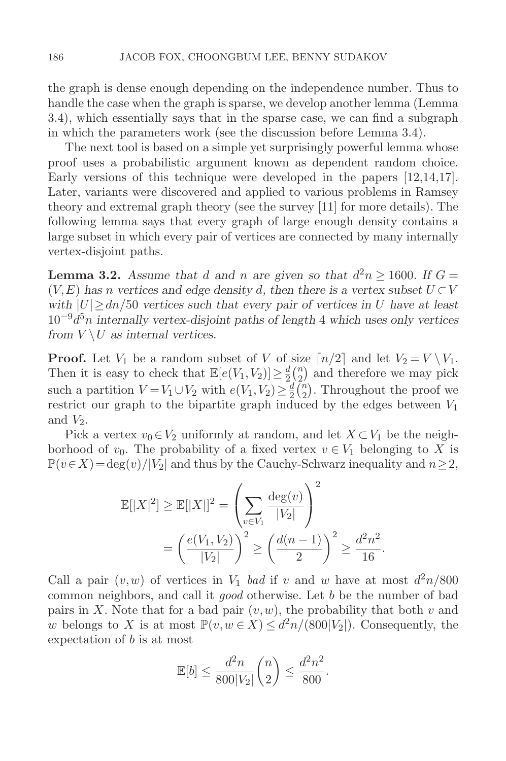the graph is dense enough depending on the independence number. Thus to handle the case when the graph is sparse, we develop another lemma (Lemma 3.4), which essentially says that in the sparse case, we can find a subgraph in which the parameters work (see the discussion before Lemma 3.4).

The next tool is based on a simple yet surprisingly powerful lemma whose proof uses a probabilistic argument known as dependent random choice. Early versions of this technique were developed in the papers [12,14,17]. Later, variants were discovered and applied to various problems in Ramsey theory and extremal graph theory (see the survey [11] for more details). The following lemma says that every graph of large enough density contains a large subset in which every pair of vertices are connected by many internally vertex-disjoint paths.

**Lemma 3.2.** Assume that d and n are given so that  $d^2n \ge 1600$ . If  $G =$  $(V, E)$  *has n vertices and edge density d, then there is a vertex subset*  $U \subset V$ *with*  $|U| \geq dn/50$  *vertices such that every pair of vertices in* U *have at least* 10−9d5n *internally vertex-disjoint paths of length* 4 *which uses only vertices from*  $V \setminus U$  *as internal vertices.* 

**Proof.** Let  $V_1$  be a random subset of V of size  $\lceil n/2 \rceil$  and let  $V_2 = V \setminus V_1$ .<br>Then it is easy to shock that  $\mathbb{F}[e(V, V)] \setminus {}^d(P)$  and therefore we may night Then it is easy to check that  $\mathbb{E}[e(V_1, V_2)] \geq \frac{d}{2} {n \choose 2}$  and therefore we may pick such a partition  $V = V_1 \cup V_2$  with  $e(V_1, V_2) \geq \frac{1}{2} {n \choose 2}$ . Throughout the proof we<br>restrict our graph to the binartite graph induced by the edges between V. restrict our graph to the bipartite graph induced by the edges between  $V_1$ and  $V_2$ .

Pick a vertex  $v_0 \in V_2$  uniformly at random, and let  $X \subset V_1$  be the neighborhood of  $v_0$ . The probability of a fixed vertex  $v \in V_1$  belonging to X is  $\mathbb{P}(v \in X) = \deg(v)/|V_2|$  and thus by the Cauchy-Schwarz inequality and  $n \geq 2$ ,

$$
\mathbb{E}[|X|^2] \ge \mathbb{E}[|X|]^2 = \left(\sum_{v \in V_1} \frac{\deg(v)}{|V_2|}\right)^2
$$
  
=  $\left(\frac{e(V_1, V_2)}{|V_2|}\right)^2 \ge \left(\frac{d(n-1)}{2}\right)^2 \ge \frac{d^2 n^2}{16}.$ 

Call a pair  $(v, w)$  of vertices in  $V_1$  bad if v and w have at most  $d^2n/800$ common neighbors, and call it good otherwise. Let b be the number of bad pairs in X. Note that for a bad pair  $(v, w)$ , the probability that both v and w belongs to X is at most  $\mathbb{P}(v,w \in X) \leq d^2n/(800|V_2|)$ . Consequently, the expectation of b is at most

$$
\mathbb{E}[b] \le \frac{d^2n}{800|V_2|} \binom{n}{2} \le \frac{d^2n^2}{800}.
$$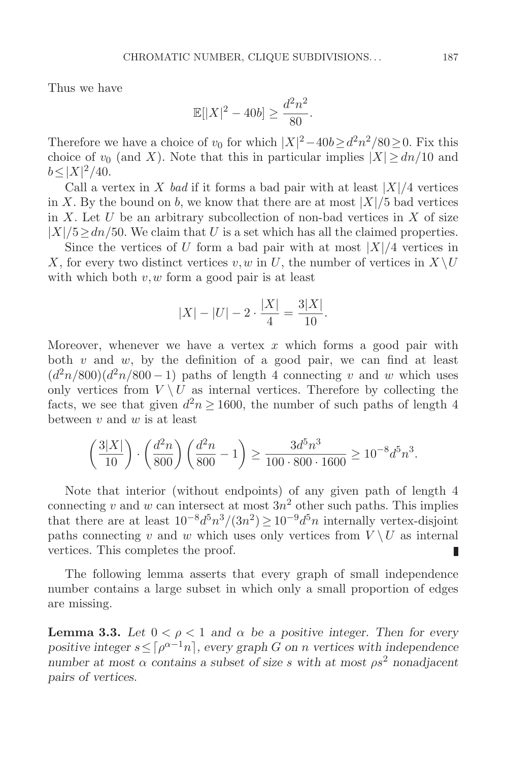Thus we have

$$
\mathbb{E}[|X|^2 - 40b] \ge \frac{d^2n^2}{80}.
$$

Therefore we have a choice of  $v_0$  for which  $|X|^2 - 40b \ge d^2n^2/80 \ge 0$ . Fix this choice of  $v_0$  (and X) Note that this in porticular inplies  $|X| \ge d_n/10$  and choice of  $v_0$  (and X). Note that this in particular implies  $|X| > dn/10$  and  $b \le |X|^2/40.$ 

Call a vertex in X bad if it forms a bad pair with at least  $|X|/4$  vertices in X. By the bound on b, we know that there are at most  $|X|/5$  bad vertices in X. Let U be an arbitrary subcollection of non-bad vertices in X of size  $|X|/5 \geq dn/50$ . We claim that U is a set which has all the claimed properties.

Since the vertices of U form a bad pair with at most  $|X|/4$  vertices in X, for every two distinct vertices v, w in U, the number of vertices in  $X \setminus U$ with which both  $v, w$  form a good pair is at least

$$
|X| - |U| - 2 \cdot \frac{|X|}{4} = \frac{3|X|}{10}.
$$

Moreover, whenever we have a vertex  $x$  which forms a good pair with both  $v$  and  $w$ , by the definition of a good pair, we can find at least  $(d^{2}n/800)(d^{2}n/800 - 1)$  paths of length 4 connecting v and w which uses only vertices from  $V \setminus U$  as internal vertices. Therefore by collecting the facts, we see that given  $d^2n \ge 1600$ , the number of such paths of length 4 between  $v$  and  $w$  is at least

$$
\left(\frac{3|X|}{10}\right) \cdot \left(\frac{d^2n}{800}\right) \left(\frac{d^2n}{800} - 1\right) \ge \frac{3d^5n^3}{100 \cdot 800 \cdot 1600} \ge 10^{-8}d^5n^3.
$$

Note that interior (without endpoints) of any given path of length 4 connecting v and w can intersect at most  $3n^2$  other such paths. This implies that there are at least  $10^{-8}d^5n^3/(3n^2) \ge 10^{-9}d^5n$  internally vertex-disjoint paths connecting v and w which uses only vertices from  $V \setminus U$  as internal vertices. This completes the proof. vertices. This completes the proof.

The following lemma asserts that every graph of small independence number contains a large subset in which only a small proportion of edges are missing.

**Lemma 3.3.** Let  $0 < \rho < 1$  and  $\alpha$  be a positive integer. Then for every *positive integer*  $s \leq \lceil \rho^{\alpha-1} n \rceil$ , every graph G on n vertices with independence *number at most*  $\alpha$  *contains a subset of size* s with at most  $\rho s^2$  *nonadjacent pairs of vertices.*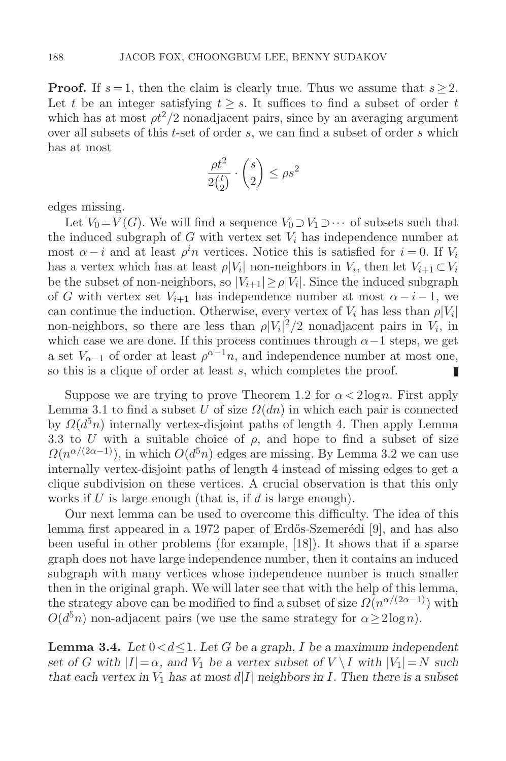**Proof.** If  $s = 1$ , then the claim is clearly true. Thus we assume that  $s \geq 2$ . Let t be an integer satisfying  $t \geq s$ . It suffices to find a subset of order t which has at most  $\rho t^2/2$  nonadjacent pairs, since by an averaging argument over all subsets of this t-set of order s, we can find a subset of order s which has at most

$$
\frac{\rho t^2}{2\binom{t}{2}} \cdot \binom{s}{2} \le \rho s^2
$$

edges missing.

Let  $V_0 = V(G)$ . We will find a sequence  $V_0 \supset V_1 \supset \cdots$  of subsets such that the induced subgraph of G with vertex set  $V_i$  has independence number at most  $\alpha - i$  and at least  $\rho^i n$  vertices. Notice this is satisfied for  $i = 0$ . If  $V_i$ has a vertex which has at least  $\rho|V_i|$  non-neighbors in  $V_i$ , then let  $V_{i+1} \subset V_i$ be the subset of non-neighbors, so  $|V_{i+1}| \ge \rho |V_i|$ . Since the induced subgraph of G with vertex set  $V_{i+1}$  has independence number at most  $\alpha - i - 1$ , we can continue the induction. Otherwise, every vertex of  $V_i$  has less than  $\rho|V_i|$ non-neighbors, so there are less than  $\rho |V_i|^2/2$  nonadjacent pairs in  $V_i$ , in which case we are done. If this process continues through  $\alpha-1$  steps, we get a set  $V_{\alpha-1}$  of order at least  $\rho^{\alpha-1}n$ , and independence number at most one, so this is a clique of order at least s, which completes the proof. so this is a clique of order at least s, which completes the proof.

Suppose we are trying to prove Theorem 1.2 for  $\alpha < 2\log n$ . First apply Lemma 3.1 to find a subset U of size  $\Omega(dn)$  in which each pair is connected by  $\Omega(d^5n)$  internally vertex-disjoint paths of length 4. Then apply Lemma 3.3 to U with a suitable choice of  $\rho$ , and hope to find a subset of size  $\Omega(n^{\alpha/(2\alpha-1)})$ , in which  $O(d^5n)$  edges are missing. By Lemma 3.2 we can use internally vertex-disjoint paths of length 4 instead of missing edges to get a clique subdivision on these vertices. A crucial observation is that this only works if  $U$  is large enough (that is, if  $d$  is large enough).

Our next lemma can be used to overcome this difficulty. The idea of this lemma first appeared in a 1972 paper of Erdős-Szemerédi [9], and has also been useful in other problems (for example, [18]). It shows that if a sparse graph does not have large independence number, then it contains an induced subgraph with many vertices whose independence number is much smaller then in the original graph. We will later see that with the help of this lemma, the strategy above can be modified to find a subset of size  $\Omega(n^{\alpha/(2\alpha-1)})$  with  $O(d^5n)$  non-adjacent pairs (we use the same strategy for  $\alpha \geq 2\log n$ ).

**Lemma 3.4.** Let  $0 < d \leq 1$ . Let G be a graph, I be a maximum independent *set of* G with  $|I| = \alpha$ , and  $V_1$  be a vertex subset of  $V \setminus I$  with  $|V_1| = N$  such *that each vertex in*  $V_1$  *has at most*  $d|I|$  *neighbors in* I. Then there is a subset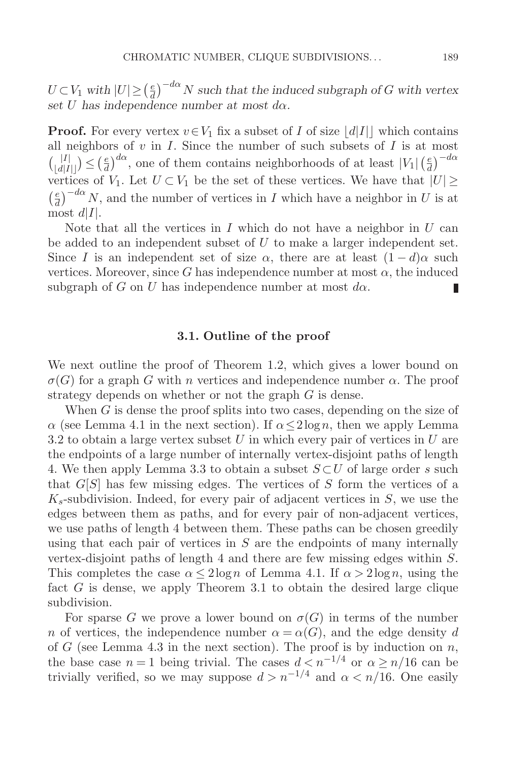$U \subset V_1$  with  $|U| \geq (\frac{e}{d})^{-d\alpha} N$  such that the induced subgraph of G with vertex<br>set U has independence number at most de *set* U *has independence number at most* dα*.*

**Proof.** For every vertex  $v \in V_1$  fix a subset of I of size  $|d|I|$  which contains all neighbors of  $v$  in  $I$ . Since the number of such subsets of  $I$  is at most  $\binom{|I|}{\lfloor d|I| \rfloor} \leq \left(\frac{e}{d}\right)^{d\alpha}$ , one of them contains neighborhoods of at least  $|V_1| \left(\frac{e}{d}\right)^{-d\alpha}$ vertices of  $V_1$ . Let  $U \subset V_1$  be the set of these vertices. We have that  $|U| \ge$  $\left(\frac{e}{d}\right)^{-d\alpha} N$ , and the number of vertices in I which have a neighbor in U is at most  $d|I|$ .

Note that all the vertices in  $I$  which do not have a neighbor in  $U$  can be added to an independent subset of  $U$  to make a larger independent set. Since I is an independent set of size  $\alpha$ , there are at least  $(1-d)\alpha$  such vertices. Moreover, since G has independence number at most  $\alpha$ , the induced subgraph of G on U has independence number at most  $d\alpha$ . П

#### **3.1. Outline of the proof**

We next outline the proof of Theorem 1.2, which gives a lower bound on  $\sigma(G)$  for a graph G with n vertices and independence number  $\alpha$ . The proof strategy depends on whether or not the graph G is dense.

When  $G$  is dense the proof splits into two cases, depending on the size of  $\alpha$  (see Lemma 4.1 in the next section). If  $\alpha < 2 \log n$ , then we apply Lemma 3.2 to obtain a large vertex subset U in which every pair of vertices in U are the endpoints of a large number of internally vertex-disjoint paths of length 4. We then apply Lemma 3.3 to obtain a subset  $S \subset U$  of large order s such that  $G[S]$  has few missing edges. The vertices of S form the vertices of a  $K_s$ -subdivision. Indeed, for every pair of adjacent vertices in S, we use the edges between them as paths, and for every pair of non-adjacent vertices, we use paths of length 4 between them. These paths can be chosen greedily using that each pair of vertices in  $S$  are the endpoints of many internally vertex-disjoint paths of length 4 and there are few missing edges within S. This completes the case  $\alpha \leq 2\log n$  of Lemma 4.1. If  $\alpha > 2\log n$ , using the fact G is dense, we apply Theorem 3.1 to obtain the desired large clique subdivision.

For sparse G we prove a lower bound on  $\sigma(G)$  in terms of the number n of vertices, the independence number  $\alpha = \alpha(G)$ , and the edge density d of  $G$  (see Lemma 4.3 in the next section). The proof is by induction on  $n$ , the base case  $n = 1$  being trivial. The cases  $d \leq n^{-1/4}$  or  $\alpha \geq n/16$  can be trivially verified, so we may suppose  $d>n^{-1/4}$  and  $\alpha < n/\overline{16}$ . One easily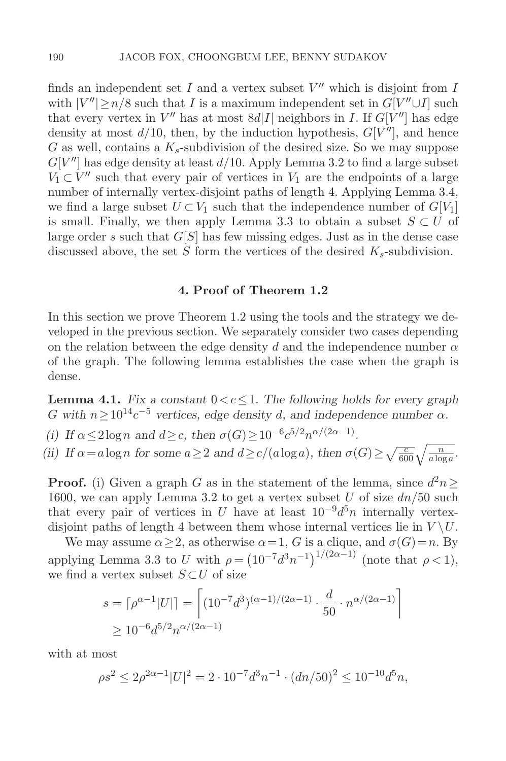finds an independent set I and a vertex subset  $V''$  which is disjoint from I with  $|V''| \geq n/8$  such that I is a maximum independent set in  $G[V'' \cup I]$  such that every vertex in  $V''$  has at most  $8d|I|$  neighbors in I. If  $G[V'']$  has edge density at most  $d/10$ , then, by the induction hypothesis,  $G[V'']$ , and hence G as well, contains a  $K_s$ -subdivision of the desired size. So we may suppose  $G[V'']$  has edge density at least  $d/10$ . Apply Lemma 3.2 to find a large subset  $V_1 \subset V''$  such that every pair of vertices in  $V_1$  are the endpoints of a large number of internally vertex-disjoint paths of length 4. Applying Lemma 3.4, we find a large subset  $U \subset V_1$  such that the independence number of  $G[V_1]$ is small. Finally, we then apply Lemma 3.3 to obtain a subset  $S \subset U$  of large order s such that  $G[S]$  has few missing edges. Just as in the dense case discussed above, the set S form the vertices of the desired  $K_s$ -subdivision.

## **4. Proof of Theorem 1.2**

In this section we prove Theorem 1.2 using the tools and the strategy we developed in the previous section. We separately consider two cases depending on the relation between the edge density d and the independence number  $\alpha$ of the graph. The following lemma establishes the case when the graph is dense.

**Lemma 4.1.** *Fix a constant*  $0 < c \leq 1$ *. The following holds for every graph* G with  $n \geq 10^{14}c^{-5}$  vertices, edge density d, and independence number  $\alpha$ .

- *(i)* If  $\alpha \leq 2\log n$  *and*  $d \geq c$ *, then*  $\sigma(G) \geq 10^{-6}c^{5/2}n^{\alpha/(2\alpha-1)}$ *.*
- *(ii)* If  $\alpha = a \log n$  for some  $a \ge 2$  and  $d \ge c/(a \log a)$ , then  $\sigma(G) \ge \sqrt{\frac{c}{600}} \sqrt{\frac{n}{a \log a}}$ .

**Proof.** (i) Given a graph G as in the statement of the lemma, since  $d^2n \geq$ 1600, we can apply Lemma 3.2 to get a vertex subset U of size  $dn/50$  such that every pair of vertices in U have at least  $10^{-9}d^5n$  internally vertexdisjoint paths of length 4 between them whose internal vertices lie in  $V \backslash U$ .

We may assume  $\alpha \geq 2$ , as otherwise  $\alpha = 1$ , G is a clique, and  $\sigma(G) = n$ . By applying Lemma 3.3 to U with  $\rho = (10^{-7}d^3n^{-1})^{1/(2\alpha-1)}$  (note that  $\rho < 1$ ), we find a vertex subset  $S \subset U$  of size

$$
s = \lceil \rho^{\alpha - 1} |U| \rceil = \left[ (10^{-7} d^3)^{(\alpha - 1)/(2\alpha - 1)} \cdot \frac{d}{50} \cdot n^{\alpha/(2\alpha - 1)} \right]
$$
  
\n
$$
\geq 10^{-6} d^{5/2} n^{\alpha/(2\alpha - 1)}
$$

with at most

$$
\rho s^2 \le 2\rho^{2\alpha - 1} |U|^2 = 2 \cdot 10^{-7} d^3 n^{-1} \cdot (dn/50)^2 \le 10^{-10} d^5 n,
$$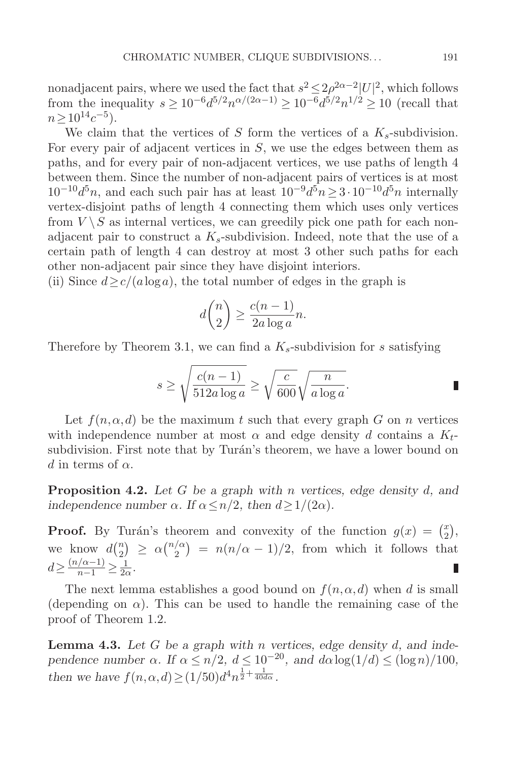nonadjacent pairs, where we used the fact that  $s^2 \leq 2\rho^{2\alpha-2} |U|^2$ , which follows from the inequality  $s \ge 10^{-6} d^{5/2} n^{\alpha/(2\alpha-1)} \ge 10^{-6} d^{5/2} n^{1/2} \ge 10$  (recall that  $n>10^{14}c^{-5}$ ).

We claim that the vertices of S form the vertices of a  $K_s$ -subdivision. For every pair of adjacent vertices in  $S$ , we use the edges between them as paths, and for every pair of non-adjacent vertices, we use paths of length 4 between them. Since the number of non-adjacent pairs of vertices is at most  $10^{-10}d^5n$ , and each such pair has at least  $10^{-9}d^5n \geq 3 \cdot 10^{-10}d^5n$  internally vertex-disjoint paths of length 4 connecting them which uses only vertices from  $V \setminus S$  as internal vertices, we can greedily pick one path for each nonadjacent pair to construct a  $K_s$ -subdivision. Indeed, note that the use of a certain path of length 4 can destroy at most 3 other such paths for each other non-adjacent pair since they have disjoint interiors.

(ii) Since  $d \geq c/(a \log a)$ , the total number of edges in the graph is

$$
d\binom{n}{2} \ge \frac{c(n-1)}{2a\log a}n.
$$

Therefore by Theorem 3.1, we can find a  $K_s$ -subdivision for s satisfying

$$
s \ge \sqrt{\frac{c(n-1)}{512a\log a}} \ge \sqrt{\frac{c}{600}}\sqrt{\frac{n}{a\log a}}.
$$

Let  $f(n, \alpha, d)$  be the maximum t such that every graph G on n vertices with independence number at most  $\alpha$  and edge density d contains a  $K_t$ subdivision. First note that by Turán's theorem, we have a lower bound on d in terms of  $\alpha$ .

**Proposition 4.2.** *Let* G *be a graph with* n *vertices, edge density* d*, and independence number*  $\alpha$ *. If*  $\alpha \leq n/2$ *, then*  $d \geq 1/(2\alpha)$ *.* 

**Proof.** By Turán's theorem and convexity of the function  $g(x) = \begin{pmatrix} x \\ 2 \end{pmatrix}$ , we know  $d\binom{n}{2} \geq \alpha \binom{n}{2} = n(n/\alpha - 1)/2$ , from which it follows the  $\binom{\alpha}{2} = n(n/\alpha - 1)/2$ , from which it follows that  $d \geq \frac{(n/\alpha-1)}{n-1} \geq \frac{1}{2\alpha}.$ П

The next lemma establishes a good bound on  $f(n, \alpha, d)$  when d is small (depending on  $\alpha$ ). This can be used to handle the remaining case of the proof of Theorem 1.2.

**Lemma 4.3.** *Let* G *be a graph with* n *vertices, edge density* d*, and independence number*  $\alpha$ *. If*  $\alpha \leq n/2$ *,*  $d \leq 10^{-20}$ *, and*  $d\alpha \log(1/d) \leq (\log n)/100$ *, then we have*  $f(n, \alpha, d) \geq (1/50)d^4n^{\frac{1}{2} + \frac{1}{40d\alpha}}$ .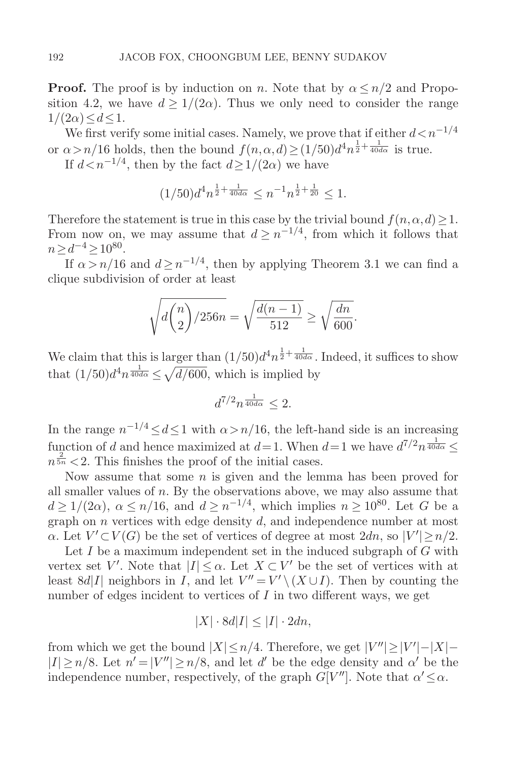**Proof.** The proof is by induction on n. Note that by  $\alpha \leq n/2$  and Proposition 4.2, we have  $d \geq 1/(2\alpha)$ . Thus we only need to consider the range  $1/(2\alpha)\leq d\leq 1$ .

We first verify some initial cases. Namely, we prove that if either  $d < n^{-1/4}$ or  $\alpha > n/16$  holds, then the bound  $f(n, \alpha, d) \geq (1/50)d^4n^{\frac{1}{2} + \frac{1}{40d\alpha}}$  is true.

If  $d < n^{-1/4}$ , then by the fact  $d > 1/(2\alpha)$  we have

$$
(1/50)d^4n^{\frac{1}{2} + \frac{1}{40d\alpha}} \le n^{-1}n^{\frac{1}{2} + \frac{1}{20}} \le 1.
$$

Therefore the statement is true in this case by the trivial bound  $f(n, \alpha, d) \geq 1$ . From now on, we may assume that  $d \geq n^{-1/4}$ , from which it follows that  $n > d^{-4} > 10^{80}$ .

If  $\alpha > n/16$  and  $d \geq n^{-1/4}$ , then by applying Theorem 3.1 we can find a clique subdivision of order at least

$$
\sqrt{d\binom{n}{2}/256n} = \sqrt{\frac{d(n-1)}{512}} \ge \sqrt{\frac{dn}{600}}.
$$

We claim that this is larger than  $(1/50)d^4n^{\frac{1}{2}+\frac{1}{40d\alpha}}$ . Indeed, it suffices to show that  $(1/50)d^4n^{\frac{1}{40d\alpha}} \leq \sqrt{d/600}$ , which is implied by

$$
d^{7/2}n^{\frac{1}{40d\alpha}} \le 2.
$$

In the range  $n^{-1/4} \leq d \leq 1$  with  $\alpha > n/16$ , the left-hand side is an increasing function of d and hence maximized at  $d=1$ . When  $d=1$  we have  $d^{7/2}n^{\frac{1}{40d\alpha}} \leq$  $n^{\frac{2}{5n}}$  < 2. This finishes the proof of the initial cases.

Now assume that some  $n$  is given and the lemma has been proved for all smaller values of  $n$ . By the observations above, we may also assume that  $d \geq 1/(2\alpha)$ ,  $\alpha \leq n/16$ , and  $d \geq n^{-1/4}$ , which implies  $n \geq 10^{80}$ . Let G be a graph on  $n$  vertices with edge density  $d$ , and independence number at most  $\alpha$ . Let  $V' \subset V(G)$  be the set of vertices of degree at most  $2dn$ , so  $|V'| \geq n/2$ .

Let  $I$  be a maximum independent set in the induced subgraph of  $G$  with vertex set V'. Note that  $|I| \leq \alpha$ . Let  $X \subset V'$  be the set of vertices with at least 8d|I| neighbors in I, and let  $V'' = V' \setminus (X \cup I)$ . Then by counting the number of edges incident to vertices of  $I$  in two different ways, we get

$$
|X| \cdot 8d|I| \le |I| \cdot 2dn,
$$

from which we get the bound  $|X| \le n/4$ . Therefore, we get  $|V''| \ge |V'| - |X| |I| \ge n/8$ . Let  $n' = |V''| \ge n/8$ , and let d' be the edge density and  $\alpha'$  be the independence number, respectively, of the graph  $G[V'']$ . Note that  $\alpha' \leq \alpha$ .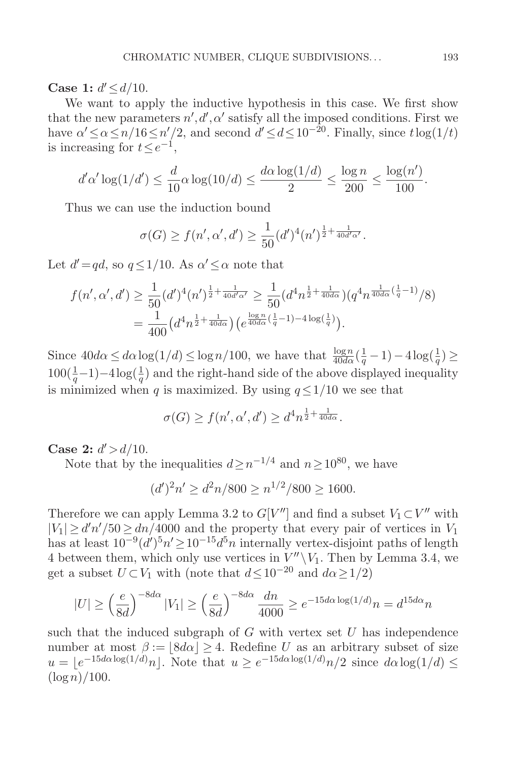**Case 1:**  $d' \leq d/10$ .

We want to apply the inductive hypothesis in this case. We first show that the new parameters  $n', d', \alpha'$  satisfy all the imposed conditions. First we have  $\alpha' \leq \alpha \leq n/16 \leq n'/2$ , and second  $d' \leq d \leq 10^{-20}$ . Finally, since  $t \log(1/t)$ is increasing for  $t \leq e^{-1}$ ,

$$
d'\alpha'\log(1/d') \le \frac{d}{10}\alpha\log(10/d) \le \frac{d\alpha\log(1/d)}{2} \le \frac{\log n}{200} \le \frac{\log(n')}{100}.
$$

Thus we can use the induction bound

$$
\sigma(G) \ge f(n', \alpha', d') \ge \frac{1}{50} (d')^4 (n')^{\frac{1}{2} + \frac{1}{40d'\alpha'}}.
$$

Let  $d' = qd$ , so  $q \leq 1/10$ . As  $\alpha' \leq \alpha$  note that

$$
f(n', \alpha', d') \ge \frac{1}{50} (d')^4 (n')^{\frac{1}{2} + \frac{1}{40d'\alpha'}} \ge \frac{1}{50} (d^4 n^{\frac{1}{2} + \frac{1}{40d\alpha}}) (q^4 n^{\frac{1}{40d\alpha}(\frac{1}{q}-1)}/8)
$$
  
= 
$$
\frac{1}{400} (d^4 n^{\frac{1}{2} + \frac{1}{40d\alpha}}) (e^{\frac{\log n}{40d\alpha}(\frac{1}{q}-1) - 4\log(\frac{1}{q})}).
$$

Since  $40d\alpha \leq d\alpha \log(1/d) \leq \log n/100$ , we have that  $\frac{\log n}{40d\alpha}(\frac{1}{q}-1)-4\log(\frac{1}{q}) \geq 100(\frac{1}{q}+1)-4\log(\frac{1}{q})$  $100(\frac{1}{q}-1)-4\log(\frac{1}{q})$  and the right-hand side of the above displayed inequality is minimized when q is maximized. By using  $q \leq 1/10$  we see that

$$
\sigma(G) \ge f(n', \alpha', d') \ge d^4 n^{\frac{1}{2} + \frac{1}{40d\alpha}}.
$$

**Case 2:**  $d' > d/10$ .

Note that by the inequalities  $d > n^{-1/4}$  and  $n > 10^{80}$ , we have

$$
(d')^2 n' \ge d^2 n / 800 \ge n^{1/2} / 800 \ge 1600.
$$

Therefore we can apply Lemma 3.2 to  $G[V'']$  and find a subset  $V_1 \subset V''$  with  $|V_1| \ge d'n'/50 \ge dn/4000$  and the property that every pair of vertices in  $V_1$ <br>has at locat  $10^{-9} (d')^5 n' > 10^{-15} d^5 n$  internally vertex disjoint paths of locath has at least  $10^{-9} (d')^5 n' \ge 10^{-15} d^5 n$  internally vertex-disjoint paths of length 4 between them, which only use vertices in  $V''\backslash V_1$ . Then by Lemma 3.4, we get a subset  $U \subset V_1$  with (note that  $d \leq 10^{-20}$  and  $d\alpha \geq 1/2$ )

$$
|U| \ge \left(\frac{e}{8d}\right)^{-8d\alpha} |V_1| \ge \left(\frac{e}{8d}\right)^{-8d\alpha} \frac{dn}{4000} \ge e^{-15d\alpha \log(1/d)} n = d^{15d\alpha} n
$$

such that the induced subgraph of  $G$  with vertex set  $U$  has independence number at most  $\beta := |8d\alpha| \geq 4$ . Redefine U as an arbitrary subset of size  $u = \lfloor e^{-15d\alpha\log(1/d)}n \rfloor$ . Note that  $u \geq e^{-15d\alpha\log(1/d)}n/2$  since  $d\alpha\log(1/d) \leq$  $(\log n)/100$ .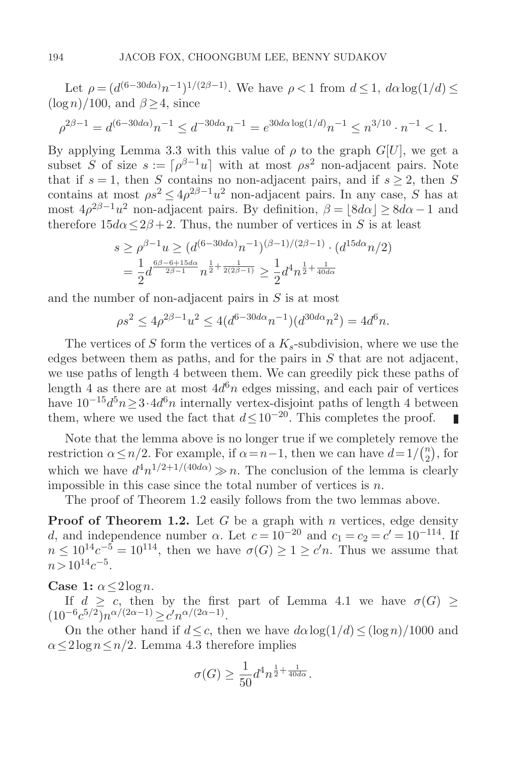Let  $\rho = (d^{(6-30d\alpha)}n^{-1})^{1/(2\beta-1)}$ . We have  $\rho < 1$  from  $d \leq 1$ ,  $d\alpha \log(1/d) \leq$  $(\log n)/100$ , and  $\beta > 4$ , since

$$
\rho^{2\beta - 1} = d^{(6-30d\alpha)}n^{-1} \le d^{-30d\alpha}n^{-1} = e^{30d\alpha \log(1/d)}n^{-1} \le n^{3/10} \cdot n^{-1} < 1.
$$

By applying Lemma 3.3 with this value of  $\rho$  to the graph  $G[U]$ , we get a subset S of size  $s := [\rho^{\beta-1}u]$  with at most  $\rho s^2$  non-adjacent pairs. Note that if  $s = 1$ , then S contains no non-adjacent pairs, and if  $s > 2$ , then S contains at most  $\rho s^2 \leq 4\rho^{2\beta-1}u^2$  non-adjacent pairs. In any case, S has at most  $4\rho^{2\beta-1}u^2$  non-adjacent pairs. By definition,  $\beta = |8d\alpha| > 8d\alpha - 1$  and therefore  $15d\alpha \leq 2\beta + 2$ . Thus, the number of vertices in S is at least

$$
s \ge \rho^{\beta - 1} u \ge (d^{(6-30d\alpha)} n^{-1})^{(\beta - 1)/(2\beta - 1)} \cdot (d^{15d\alpha} n/2)
$$
  
=  $\frac{1}{2} d^{\frac{6\beta - 6 + 15d\alpha}{2\beta - 1}} n^{\frac{1}{2} + \frac{1}{2(2\beta - 1)}} \ge \frac{1}{2} d^4 n^{\frac{1}{2} + \frac{1}{40d\alpha}}$ 

and the number of non-adjacent pairs in S is at most

$$
\rho s^2 \le 4\rho^{2\beta - 1} u^2 \le 4(d^{6 - 30d\alpha} n^{-1})(d^{30d\alpha} n^2) = 4d^6 n.
$$

The vertices of S form the vertices of a  $K_s$ -subdivision, where we use the edges between them as paths, and for the pairs in  $S$  that are not adjacent, we use paths of length 4 between them. We can greedily pick these paths of length 4 as there are at most  $4d^{6}n$  edges missing, and each pair of vertices have  $10^{-15}d^5n\geq 3\cdot 4d^6n$  internally vertex-disjoint paths of length 4 between them, where we used the fact that  $d \leq 10^{-20}$ . This completes the proof.

Note that the lemma above is no longer true if we completely remove the restriction  $\alpha \leq n/2$ . For example, if  $\alpha = n-1$ , then we can have  $d = 1/\binom{n}{2}$ , for which we have  $d^4n^{1/2+1/(40d\alpha)} \gg n$ . The conclusion of the lemma is clearly impossible in this case since the total number of vertices is  $n$ .

The proof of Theorem 1.2 easily follows from the two lemmas above.

**Proof of Theorem 1.2.** Let  $G$  be a graph with  $n$  vertices, edge density d, and independence number  $\alpha$ . Let  $c = 10^{-20}$  and  $c_1 = c_2 = c' = 10^{-114}$ . If  $n \leq 10^{14}c^{-5} = 10^{114}$ , then we have  $\sigma(G) \geq 1 \geq c'n$ . Thus we assume that  $n>10^{14}c^{-5}$ .

Case 1:  $\alpha \leq 2 \log n$ .

If  $d \geq c$ , then by the first part of Lemma 4.1 we have  $\sigma(G)$  $(10^{-6}c^{5/2})n^{\alpha/(2\alpha-1)} \geq c'n^{\alpha/(2\alpha-1)}.$ 

On the other hand if  $d \leq c$ , then we have  $d\alpha \log(1/d) \leq (\log n)/1000$  and  $\alpha \leq 2 \log n \leq n/2$ . Lemma 4.3 therefore implies

$$
\sigma(G) \ge \frac{1}{50} d^4 n^{\frac{1}{2} + \frac{1}{40d\alpha}}.
$$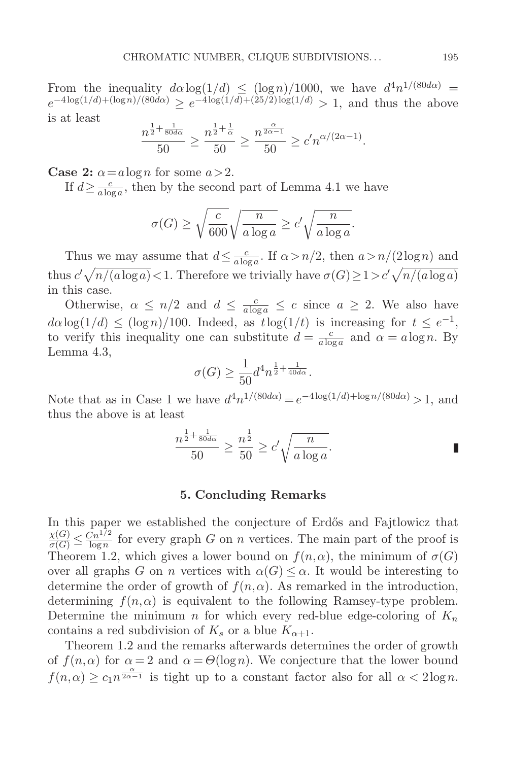From the inequality  $d\alpha \log(1/d) \leq (\log n)/1000$ , we have  $d^4n^{1/(80d\alpha)} =$  $e^{-4\log(1/d) + (\log n)/(80d\alpha)} \ge e^{-4\log(1/d) + (25/2)\log(1/d)} > 1$ , and thus the above is at least

$$
\frac{n^{\frac{1}{2} + \frac{1}{80d\alpha}}}{50} \ge \frac{n^{\frac{1}{2} + \frac{1}{\alpha}}}{50} \ge \frac{n^{\frac{\alpha}{2\alpha - 1}}}{50} \ge c' n^{\alpha/(2\alpha - 1)}.
$$

**Case 2:**  $\alpha = a \log n$  for some  $a > 2$ .

If  $d \ge \frac{c}{a \log a}$ , then by the second part of Lemma 4.1 we have

$$
\sigma(G) \ge \sqrt{\frac{c}{600}} \sqrt{\frac{n}{a \log a}} \ge c' \sqrt{\frac{n}{a \log a}}.
$$

Thus we may assume that  $d \leq \frac{c}{a \log a}$ . If  $\alpha > n/2$ , then  $a > n/(2 \log n)$  and thus  $c' \sqrt{n/(a \log a)} < 1$ . Therefore we trivially have  $\sigma(G) \geq 1 > c' \sqrt{n/(a \log a)}$ in this case.

Otherwise,  $\alpha \leq n/2$  and  $d \leq \frac{c}{a \log a} \leq c$  since  $a \geq 2$ . We also have  $d\alpha \log(1/d) \leq (\log n)/100$ . Indeed, as  $t \log(1/t)$  is increasing for  $t \leq e^{-1}$ , to verify this inequality one can substitute  $d = \frac{c}{a \log a}$  and  $\alpha = a \log n$ . By Lemma 4.3,

$$
\sigma(G) \ge \frac{1}{50} d^4 n^{\frac{1}{2} + \frac{1}{40d\alpha}}.
$$

Note that as in Case 1 we have  $d^4n^{1/(80d\alpha)} = e^{-4\log(1/d) + \log n/(80d\alpha)} > 1$ , and thus the above is at least

$$
\frac{n^{\frac{1}{2} + \frac{1}{80d\alpha}}}{50} \ge \frac{n^{\frac{1}{2}}}{50} \ge c' \sqrt{\frac{n}{a \log a}}.
$$

#### **5. Concluding Remarks**

In this paper we established the conjecture of Erdős and Fajtlowicz that  $\frac{\chi(G)}{\sigma(G)} \leq \frac{\tilde{C}n^{1/2}}{\log n}$  for every graph G on n vertices. The main part of the proof is<br>Theorem 1.2, which gives a lower bound on  $f(n, \alpha)$ , the minimum of  $\sigma(G)$ Theorem 1.2, which gives a lower bound on  $f(n, \alpha)$ , the minimum of  $\sigma(G)$ over all graphs G on n vertices with  $\alpha(G) \leq \alpha$ . It would be interesting to determine the order of growth of  $f(n, \alpha)$ . As remarked in the introduction, determining  $f(n, \alpha)$  is equivalent to the following Ramsey-type problem. Determine the minimum n for which every red-blue edge-coloring of  $K_n$ contains a red subdivision of  $K_s$  or a blue  $K_{\alpha+1}$ .

Theorem 1.2 and the remarks afterwards determines the order of growth of  $f(n,\alpha)$  for  $\alpha = 2$  and  $\alpha = \Theta(\log n)$ . We conjecture that the lower bound  $f(n,\alpha) \geq c_1 n^{\frac{\alpha}{2\alpha-1}}$  is tight up to a constant factor also for all  $\alpha < 2\log n$ .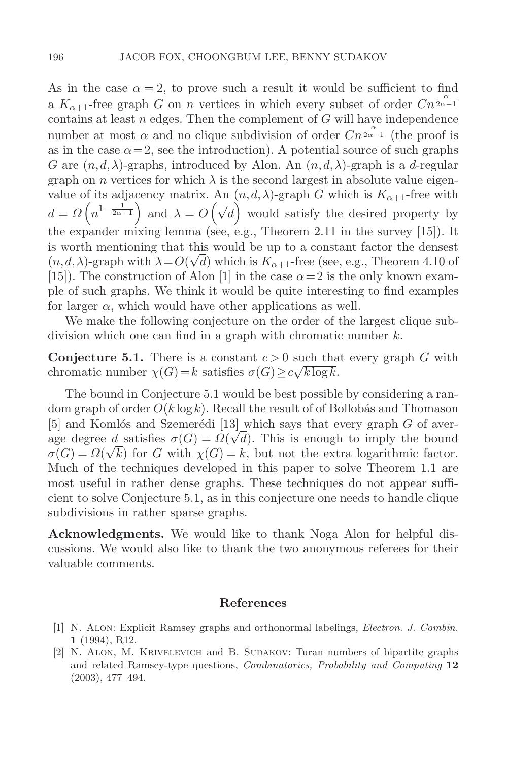As in the case  $\alpha = 2$ , to prove such a result it would be sufficient to find a  $K_{\alpha+1}$ -free graph G on n vertices in which every subset of order  $C_n^{\frac{\alpha}{2\alpha-1}}$ contains at least  $n$  edges. Then the complement of  $G$  will have independence number at most  $\alpha$  and no clique subdivision of order  $Cn^{\frac{\alpha}{2\alpha-1}}$  (the proof is as in the case  $\alpha = 2$ , see the introduction). A potential source of such graphs G are  $(n, d, \lambda)$ -graphs, introduced by Alon. An  $(n, d, \lambda)$ -graph is a d-regular graph on n vertices for which  $\lambda$  is the second largest in absolute value eigenvalue of its adjacency matrix. An  $(n, d, \lambda)$ -graph G which is  $K_{\alpha+1}$ -free with  $d = \Omega\left(n^{1-\frac{1}{2\alpha-1}}\right)$  and  $\lambda = O\left(\sqrt{d}\right)$  would satisfy the desired property by the expander mixing lemma (see, e.g., Theorem 2.11 in the survey [15]). It is worth mentioning that this would be up to a constant factor the densest (n, d,  $\lambda$ )-graph with  $\lambda = O(\sqrt{d})$  which is  $K_{\alpha+1}$ -free (see, e.g., Theorem 4.10 of [15]). The construction of Alon [1] in the case  $\alpha = 2$  is the only known example of such graphs. We think it would be quite interesting to find examples for larger  $\alpha$ , which would have other applications as well.

We make the following conjecture on the order of the largest clique subdivision which one can find in a graph with chromatic number  $k$ .

**Conjecture 5.1.** There is a constant  $c > 0$  such that every graph G with chromatic number  $\chi(G) = k$  satisfies  $\sigma(G) \geq c \sqrt{k \log k}$ .

The bound in Conjecture 5.1 would be best possible by considering a random graph of order  $O(k \log k)$ . Recall the result of of Bollobás and Thomason [5] and Komlós and Szemerédi [13] which says that every graph  $G$  of average degree d satisfies  $\sigma(G) = \Omega(\sqrt{d})$ . This is enough to imply the bound  $\sigma(G) = \Omega(\sqrt{k})$  for G with  $\chi(G) = k$ , but not the extra logarithmic factor. Much of the techniques developed in this paper to solve Theorem 1.1 are most useful in rather dense graphs. These techniques do not appear sufficient to solve Conjecture 5.1, as in this conjecture one needs to handle clique subdivisions in rather sparse graphs.

**Acknowledgments.** We would like to thank Noga Alon for helpful discussions. We would also like to thank the two anonymous referees for their valuable comments.

## **References**

- [1] N. Alon: Explicit Ramsey graphs and orthonormal labelings, Electron. J. Combin. **1** (1994), R12.
- [2] N. Alon, M. Krivelevich and B. Sudakov: Turan numbers of bipartite graphs and related Ramsey-type questions, Combinatorics, Probability and Computing **12** (2003), 477–494.